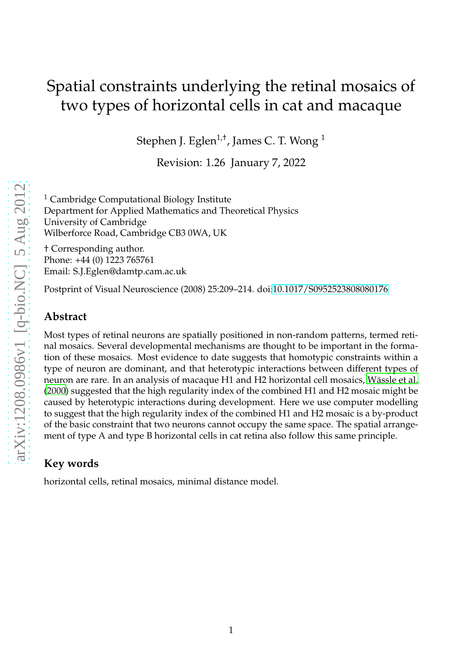# Spatial constraints underlying the retinal mosaics of two types of horizontal cells in cat and macaque

Stephen J. Eglen<sup>1,†</sup>, James C. T. Wong <sup>1</sup>

Revision: 1.26 January 7, 2022

 $<sup>1</sup>$  Cambridge Computational Biology Institute</sup> Department for Applied Mathematics and Theoretical Physics University of Cambridge Wilberforce Road, Cambridge CB3 0WA, UK

† Corresponding author. Phone: +44 (0) 1223 765761 Email: S.J.Eglen@damtp.cam.ac.uk

Postprint of Visual Neuroscience (2008) 25:209–214. doi[:10.1017/S0952523808080176](http://dx.doi.org/10.1017/S0952523808080176)

#### **Abstract**

Most types of retinal neurons are spatially positioned in non-random patterns, termed retinal mosaics. Several developmental mechanisms are thought to be important in the formation of these mosaics. Most evidence to date suggests that homotypic constraints within a type of neuron are dominant, and that heterotypic interactions between different types of neuron are rare. In an analysis of macaque H1 and H2 horizontal cell mosaics, Wässle et al. [\(2000\)](#page-8-0) suggested that the high regularity index of the combined H1 and H2 mosaic might be caused by heterotypic interactions during development. Here we use computer modelling to suggest that the high regularity index of the combined H1 and H2 mosaic is a by-product of the basic constraint that two neurons cannot occupy the same space. The spatial arrangement of type A and type B horizontal cells in cat retina also follow this same principle.

### **Key words**

horizontal cells, retinal mosaics, minimal distance model.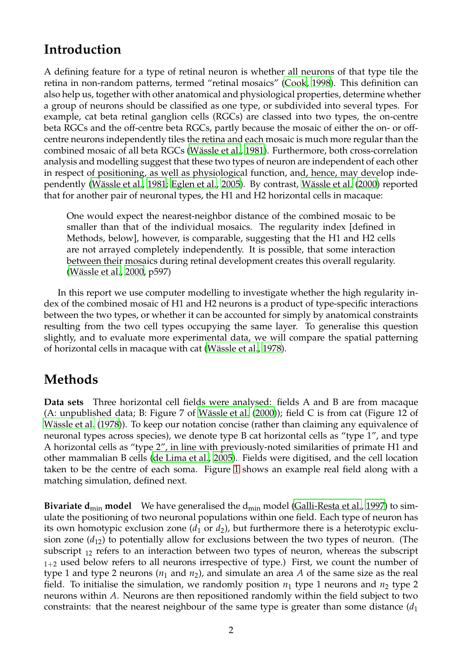## **Introduction**

A defining feature for a type of retinal neuron is whether all neurons of that type tile the retina in non-random patterns, termed "retinal mosaics" [\(Cook, 1998\)](#page-7-0). This definition can also help us, together with other anatomical and physiological properties, determine whether a group of neurons should be classified as one type, or subdivided into several types. For example, cat beta retinal ganglion cells (RGCs) are classed into two types, the on-centre beta RGCs and the off-centre beta RGCs, partly because the mosaic of either the on- or offcentre neurons independently tiles the retina and each mosaic is much more regular than the combined mosaic of all beta RGCs (Wässle et al., 1981). Furthermore, both cross-correlation analysis and modelling suggest that these two types of neuron are independent of each other in respect of positioning, as well as physiological function, and, hence, may develop inde-pendently (Wässle et al., [1981;](#page-8-1) [Eglen et al., 2005](#page-7-1)). By contrast, Wässle et al. (2000) reported that for another pair of neuronal types, the H1 and H2 horizontal cells in macaque:

One would expect the nearest-neighbor distance of the combined mosaic to be smaller than that of the individual mosaics. The regularity index [defined in Methods, below], however, is comparable, suggesting that the H1 and H2 cells are not arrayed completely independently. It is possible, that some interaction between their mosaics during retinal development creates this overall regularity. (Wässle et al., [2000](#page-8-0), p597)

In this report we use computer modelling to investigate whether the high regularity index of the combined mosaic of H1 and H2 neurons is a product of type-specific interactions between the two types, or whether it can be accounted for simply by anatomical constraints resulting from the two cell types occupying the same layer. To generalise this question slightly, and to evaluate more experimental data, we will compare the spatial patterning of horizontal cells in macaque with cat (Wässle et al., [1978](#page-8-2)).

# **Methods**

**Data sets** Three horizontal cell fields were analysed: fields A and B are from macaque (A: unpublished data; B: Figure 7 of Wässle et al.  $(2000)$ ); field C is from cat (Figure 12 of Wässle et al. (1978)). To keep our notation concise (rather than claiming any equivalence of neuronal types across species), we denote type B cat horizontal cells as "type 1", and type A horizontal cells as "type 2", in line with previously-noted similarities of primate H1 and other mammalian B cells [\(de Lima et al., 2005](#page-7-2)). Fields were digitised, and the cell location taken to be the centre of each soma. Figure [1](#page-2-0) shows an example real field along with a matching simulation, defined next.

**Bivariate d<sub>min</sub> model** We have generalised the d<sub>min</sub> model [\(Galli-Resta et al., 1997](#page-7-3)) to simulate the positioning of two neuronal populations within one field. Each type of neuron has its own homotypic exclusion zone  $(d_1 \text{ or } d_2)$ , but furthermore there is a heterotypic exclusion zone (*d*12) to potentially allow for exclusions between the two types of neuron. (The subscript  $_{12}$  refers to an interaction between two types of neuron, whereas the subscript  $1+2$  used below refers to all neurons irrespective of type.) First, we count the number of type 1 and type 2 neurons  $(n_1 \text{ and } n_2)$ , and simulate an area A of the same size as the real field. To initialise the simulation, we randomly position  $n_1$  type 1 neurons and  $n_2$  type 2 neurons within *A*. Neurons are then repositioned randomly within the field subject to two constraints: that the nearest neighbour of the same type is greater than some distance  $(d_1)$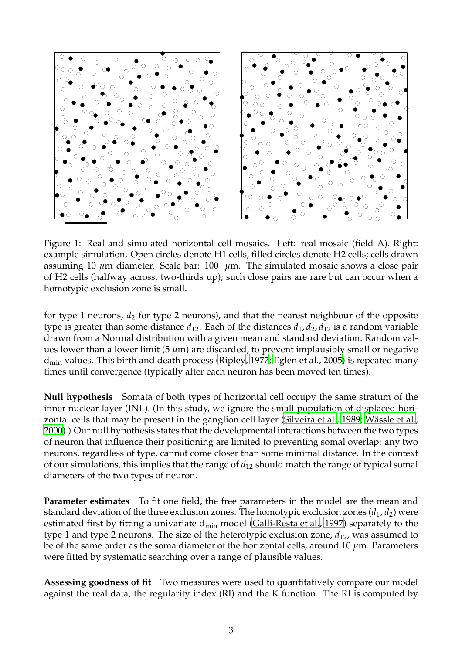

<span id="page-2-0"></span>Figure 1: Real and simulated horizontal cell mosaics. Left: real mosaic (field A). Right: example simulation. Open circles denote H1 cells, filled circles denote H2 cells; cells drawn assuming 10 *µ*m diameter. Scale bar: 100 *µ*m. The simulated mosaic shows a close pair of H2 cells (halfway across, two-thirds up); such close pairs are rare but can occur when a homotypic exclusion zone is small.

for type 1 neurons,  $d_2$  for type 2 neurons), and that the nearest neighbour of the opposite type is greater than some distance  $d_{12}$ . Each of the distances  $d_1$ ,  $d_2$ ,  $d_{12}$  is a random variable drawn from a Normal distribution with a given mean and standard deviation. Random values lower than a lower limit (5 *µ*m) are discarded, to prevent implausibly small or negative  $d_{\text{min}}$  values. This birth and death process [\(Ripley](#page-8-3), [1977](#page-8-3); [Eglen et](#page-7-1) al., [2005\)](#page-7-1) is repeated many times until convergence (typically after each neuron has been moved ten times).

**Null hypothesis** Somata of both types of horizontal cell occupy the same stratum of the inner nuclear layer (INL). (In this study, we ignore the small population of displaced hori-zontal cells that may be present in the ganglion cell layer [\(Silveira et al., 1989](#page-8-4); Wässle et al., [2000\)](#page-8-0).) Our null hypothesis states that the developmental interactions between the two types of neuron that influence their positioning are limited to preventing somal overlap: any two neurons, regardless of type, cannot come closer than some minimal distance. In the context of our simulations, this implies that the range of *d*<sup>12</sup> should match the range of typical somal diameters of the two types of neuron.

**Parameter estimates** To fit one field, the free parameters in the model are the mean and standard deviation of the three exclusion zones. The homotypic exclusion zones  $(d_1, d_2)$  were estimated first by fitting a univariate  $d_{min}$  model [\(Galli-Resta et al., 1997](#page-7-3)) separately to the type 1 and type 2 neurons. The size of the heterotypic exclusion zone, *d*12, was assumed to be of the same order as the soma diameter of the horizontal cells, around 10 *µ*m. Parameters were fitted by systematic searching over a range of plausible values.

**Assessing goodness of fit** Two measures were used to quantitatively compare our model against the real data, the regularity index (RI) and the K function. The RI is computed by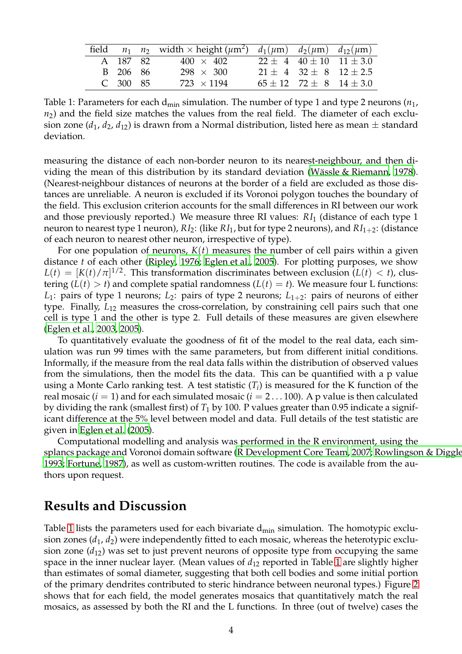|            | field $n_1$ $n_2$ width $\times$ height ( $\mu$ m <sup>2</sup> ) $d_1(\mu$ m) $d_2(\mu$ m) $d_{12}(\mu$ m) |                               |                                     |
|------------|------------------------------------------------------------------------------------------------------------|-------------------------------|-------------------------------------|
| A 187 82   | $400 \times 402$                                                                                           |                               | $22 \pm 4$ $40 \pm 10$ $11 \pm 3.0$ |
| B 206 86   | $298 \times 300$                                                                                           | $21 + 4$ $32 + 8$ $12 + 2.5$  |                                     |
| $C$ 300 85 | $723 \times 1194$                                                                                          | $65 + 12$ $72 + 8$ $14 + 3.0$ |                                     |

<span id="page-3-0"></span>Table 1: Parameters for each  $d_{min}$  simulation. The number of type 1 and type 2 neurons  $(n_1,$  $n<sub>2</sub>$ ) and the field size matches the values from the real field. The diameter of each exclusion zone  $(d_1, d_2, d_{12})$  is drawn from a Normal distribution, listed here as mean  $\pm$  standard deviation.

measuring the distance of each non-border neuron to its nearest-neighbour, and then dividing the mean of this distribution by its standard deviation (Wässle & Riemann, 1978). (Nearest-neighbour distances of neurons at the border of a field are excluded as those distances are unreliable. A neuron is excluded if its Voronoi polygon touches the boundary of the field. This exclusion criterion accounts for the small differences in RI between our work and those previously reported.) We measure three RI values: *RI*<sup>1</sup> (distance of each type 1 neuron to nearest type 1 neuron), *RI*<sub>2</sub>: (like *RI*<sub>1</sub>, but for type 2 neurons), and *RI*<sub>1+2</sub>: (distance of each neuron to nearest other neuron, irrespective of type).

For one population of neurons, *K*(*t*) measures the number of cell pairs within a given distance *t* of each other [\(Ripley, 1976;](#page-8-6) [Eglen et al., 2005\)](#page-7-1). For plotting purposes, we show  $L(t) = [K(t)/\pi]^{1/2}$ . This transformation discriminates between exclusion  $(L(t) < t)$ , clustering  $(L(t) > t)$  and complete spatial randomness  $(L(t) = t)$ . We measure four L functions: *L*<sub>1</sub>: pairs of type 1 neurons; *L*<sub>2</sub>: pairs of type 2 neurons; *L*<sub>1+2</sub>: pairs of neurons of either type. Finally, *L*<sup>12</sup> measures the cross-correlation, by constraining cell pairs such that one cell is type 1 and the other is type 2. Full details of these measures are given elsewhere [\(Eglen et al., 2003,](#page-7-4) [2005\)](#page-7-1).

To quantitatively evaluate the goodness of fit of the model to the real data, each simulation was run 99 times with the same parameters, but from different initial conditions. Informally, if the measure from the real data falls within the distribution of observed values from the simulations, then the model fits the data. This can be quantified with a p value using a Monte Carlo ranking test. A test statistic  $(T_i)$  is measured for the K function of the real mosaic  $(i = 1)$  and for each simulated mosaic  $(i = 2 \dots 100)$ . A p value is then calculated by dividing the rank (smallest first) of *T*<sup>1</sup> by 100. P values greater than 0.95 indicate a significant difference at the 5% level between model and data. Full details of the test statistic are given in [Eglen et al.](#page-7-1) [\(2005\)](#page-7-1).

Computational modelling and analysis was performed in the R environment, using the splancs package and Voronoi domain software [\(R Development](#page-7-5) Core Team, [2007](#page-7-5); [Rowlingson & Diggle](#page-8-7) [1993;](#page-8-7) [Fortune](#page-7-6), [1987\)](#page-7-6), as well as custom-written routines. The code is available from the authors upon request.

#### **Results and Discussion**

Table [1](#page-3-0) lists the parameters used for each bivariate  $d_{min}$  simulation. The homotypic exclusion zones  $(d_1, d_2)$  were independently fitted to each mosaic, whereas the heterotypic exclusion zone  $(d_{12})$  was set to just prevent neurons of opposite type from occupying the same space in the inner nuclear layer. (Mean values of *d*<sup>12</sup> reported in Table [1](#page-3-0) are slightly higher than estimates of somal diameter, suggesting that both cell bodies and some initial portion of the primary dendrites contributed to steric hindrance between neuronal types.) Figure [2](#page-5-0) shows that for each field, the model generates mosaics that quantitatively match the real mosaics, as assessed by both the RI and the L functions. In three (out of twelve) cases the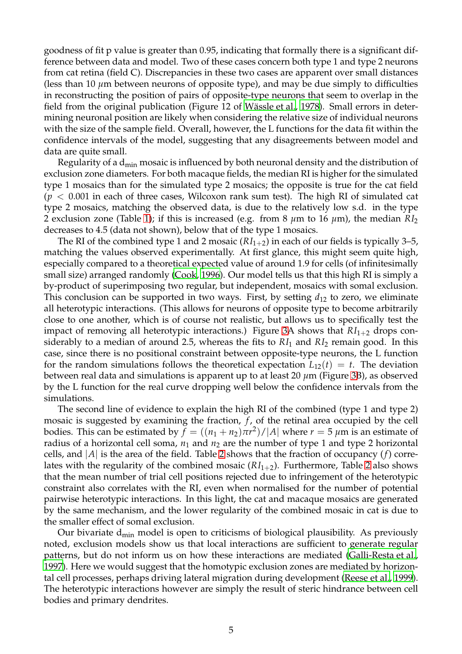goodness of fit p value is greater than 0.95, indicating that formally there is a significant difference between data and model. Two of these cases concern both type 1 and type 2 neurons from cat retina (field C). Discrepancies in these two cases are apparent over small distances (less than 10  $\mu$ m between neurons of opposite type), and may be due simply to difficulties in reconstructing the position of pairs of opposite-type neurons that seem to overlap in the field from the original publication (Figure 12 of Wässle et al., 1978). Small errors in determining neuronal position are likely when considering the relative size of individual neurons with the size of the sample field. Overall, however, the L functions for the data fit within the confidence intervals of the model, suggesting that any disagreements between model and data are quite small.

Regularity of a  $d_{min}$  mosaic is influenced by both neuronal density and the distribution of exclusion zone diameters. For both macaque fields, the median RI is higher for the simulated type 1 mosaics than for the simulated type 2 mosaics; the opposite is true for the cat field  $(p < 0.001$  in each of three cases, Wilcoxon rank sum test). The high RI of simulated cat type 2 mosaics, matching the observed data, is due to the relatively low s.d. in the type 2 exclusion zone (Table [1\)](#page-3-0); if this is increased (e.g. from 8  $\mu$ m to 16  $\mu$ m), the median *RI*<sub>2</sub> decreases to 4.5 (data not shown), below that of the type 1 mosaics.

The RI of the combined type 1 and 2 mosaic  $(RI_{1+2})$  in each of our fields is typically 3–5, matching the values observed experimentally. At first glance, this might seem quite high, especially compared to a theoretical expected value of around 1.9 for cells (of infinitesimally small size) arranged randomly [\(Cook](#page-7-7), [1996](#page-7-7)). Our model tells us that this high RI is simply a by-product of superimposing two regular, but independent, mosaics with somal exclusion. This conclusion can be supported in two ways. First, by setting  $d_{12}$  to zero, we eliminate all heterotypic interactions. (This allows for neurons of opposite type to become arbitrarily close to one another, which is of course not realistic, but allows us to specifically test the impact of removing all heterotypic interactions.) Figure [3A](#page-6-0) shows that  $RI_{1+2}$  drops considerably to a median of around 2.5, whereas the fits to *RI*<sup>1</sup> and *RI*<sup>2</sup> remain good. In this case, since there is no positional constraint between opposite-type neurons, the L function for the random simulations follows the theoretical expectation  $L_{12}(t) = t$ . The deviation between real data and simulations is apparent up to at least 20 *µ*m (Figure [3B](#page-6-0)), as observed by the L function for the real curve dropping well below the confidence intervals from the simulations.

The second line of evidence to explain the high RI of the combined (type 1 and type 2) mosaic is suggested by examining the fraction, *f*, of the retinal area occupied by the cell bodies. This can be estimated by  $f = ((n_1 + n_2)\pi r^2)/|A|$  where  $r = 5 \ \mu \text{m}$  is an estimate of radius of a horizontal cell soma,  $n_1$  and  $n_2$  are the number of type 1 and type 2 horizontal cells, and |*A*| is the area of the field. Table [2](#page-6-1) shows that the fraction of occupancy (*f*) correlates with the regularity of the combined mosaic  $(RI<sub>1+2</sub>)$ . Furthermore, Table [2](#page-6-1) also shows that the mean number of trial cell positions rejected due to infringement of the heterotypic constraint also correlates with the RI, even when normalised for the number of potential pairwise heterotypic interactions. In this light, the cat and macaque mosaics are generated by the same mechanism, and the lower regularity of the combined mosaic in cat is due to the smaller effect of somal exclusion.

Our bivariate  $d_{min}$  model is open to criticisms of biological plausibility. As previously noted, exclusion models show us that local interactions are sufficient to generate regular patterns, but do not inform us on how these interactions are mediated [\(Galli-Resta et al.,](#page-7-3) [1997\)](#page-7-3). Here we would suggest that the homotypic exclusion zones are mediated by horizontal cell processes, perhaps driving lateral migration during development [\(Reese et al., 1999\)](#page-7-8). The heterotypic interactions however are simply the result of steric hindrance between cell bodies and primary dendrites.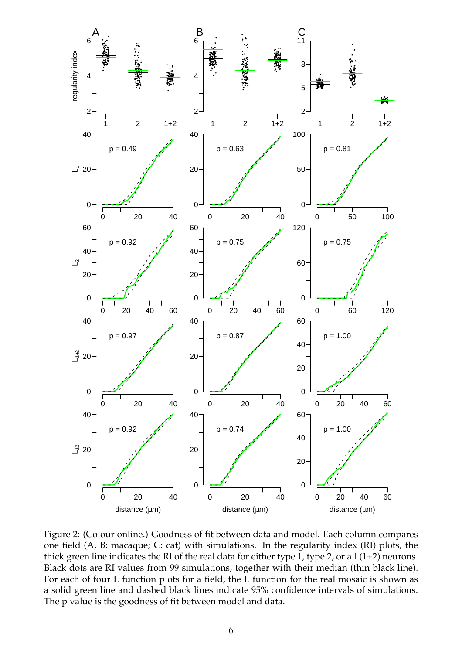

<span id="page-5-0"></span>Figure 2: (Colour online.) Goodness of fit between data and model. Each column compares one field (A, B: macaque; C: cat) with simulations. In the regularity index (RI) plots, the thick green line indicates the RI of the real data for either type 1, type 2, or all (1+2) neurons. Black dots are RI values from 99 simulations, together with their median (thin black line). For each of four L function plots for a field, the L function for the real mosaic is shown as a solid green line and dashed black lines indicate 95% confidence intervals of simulations. The p value is the goodness of fit between model and data.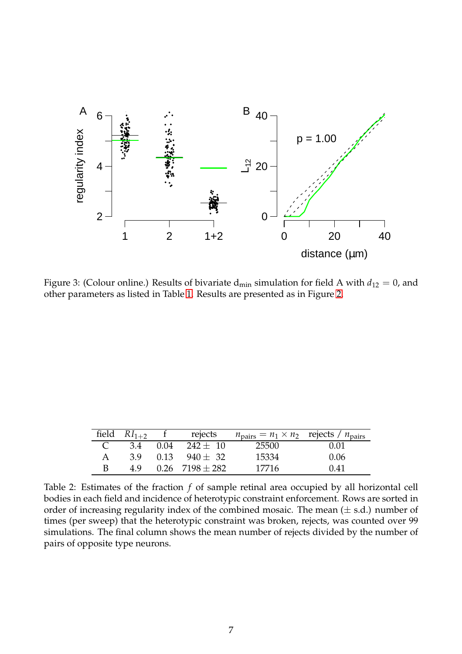

<span id="page-6-0"></span>Figure 3: (Colour online.) Results of bivariate  $d_{min}$  simulation for field A with  $d_{12} = 0$ , and other parameters as listed in Table [1.](#page-3-0) Results are presented as in Figure [2.](#page-5-0)

| field $RI_{1+2}$ | rejects                   | $n_{\text{pairs}} = n_1 \times n_2$ rejects / $n_{\text{pairs}}$ |      |
|------------------|---------------------------|------------------------------------------------------------------|------|
|                  | 3.4 0.04 242 $\pm$ 10     | 25500                                                            | 0.01 |
|                  | $3.9$ $0.13$ $940 + 32$   | 15334                                                            | 0.06 |
|                  | $4.9$ $0.26$ $7198 + 282$ | 17716                                                            | 0.41 |

<span id="page-6-1"></span>Table 2: Estimates of the fraction *f* of sample retinal area occupied by all horizontal cell bodies in each field and incidence of heterotypic constraint enforcement. Rows are sorted in order of increasing regularity index of the combined mosaic. The mean  $(\pm s.d.)$  number of times (per sweep) that the heterotypic constraint was broken, rejects, was counted over 99 simulations. The final column shows the mean number of rejects divided by the number of pairs of opposite type neurons.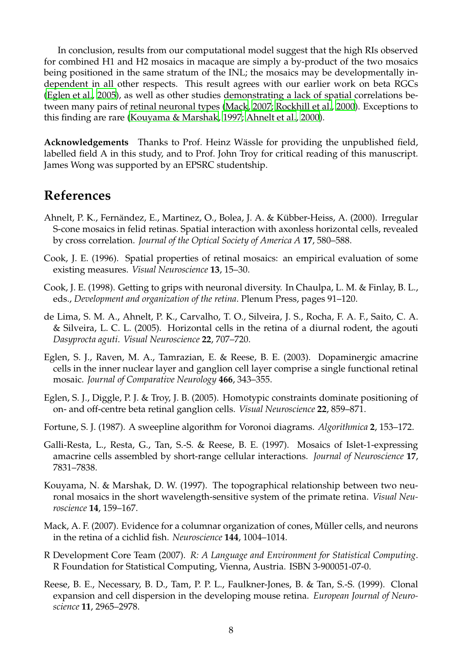In conclusion, results from our computational model suggest that the high RIs observed for combined H1 and H2 mosaics in macaque are simply a by-product of the two mosaics being positioned in the same stratum of the INL; the mosaics may be developmentally independent in all other respects. This result agrees with our earlier work on beta RGCs [\(Eglen et al., 2005](#page-7-1)), as well as other studies demonstrating a lack of spatial correlations between many pairs of retinal neuronal types [\(Mack](#page-7-9), [2007](#page-7-9); [Rockhill et al.](#page-8-8), [2000\)](#page-8-8). Exceptions to this finding are rare [\(Kouyama & Marshak](#page-7-10), [1997](#page-7-10); [Ahnelt et al.](#page-7-11), [2000](#page-7-11)).

**Acknowledgements** Thanks to Prof. Heinz Wässle for providing the unpublished field, labelled field A in this study, and to Prof. John Troy for critical reading of this manuscript. James Wong was supported by an EPSRC studentship.

### **References**

- <span id="page-7-11"></span>Ahnelt, P. K., Fernändez, E., Martinez, O., Bolea, J. A. & Kübber-Heiss, A. (2000). Irregular S-cone mosaics in felid retinas. Spatial interaction with axonless horizontal cells, revealed by cross correlation. *Journal of the Optical Society of America A* **17**, 580–588.
- <span id="page-7-7"></span>Cook, J. E. (1996). Spatial properties of retinal mosaics: an empirical evaluation of some existing measures. *Visual Neuroscience* **13**, 15–30.
- <span id="page-7-0"></span>Cook, J. E. (1998). Getting to grips with neuronal diversity. In Chaulpa, L. M. & Finlay, B. L., eds., *Development and organization of the retina*. Plenum Press, pages 91–120.
- <span id="page-7-2"></span>de Lima, S. M. A., Ahnelt, P. K., Carvalho, T. O., Silveira, J. S., Rocha, F. A. F., Saito, C. A. & Silveira, L. C. L. (2005). Horizontal cells in the retina of a diurnal rodent, the agouti *Dasyprocta aguti*. *Visual Neuroscience* **22**, 707–720.
- <span id="page-7-4"></span>Eglen, S. J., Raven, M. A., Tamrazian, E. & Reese, B. E. (2003). Dopaminergic amacrine cells in the inner nuclear layer and ganglion cell layer comprise a single functional retinal mosaic. *Journal of Comparative Neurology* **466**, 343–355.
- <span id="page-7-1"></span>Eglen, S. J., Diggle, P. J. & Troy, J. B. (2005). Homotypic constraints dominate positioning of on- and off-centre beta retinal ganglion cells. *Visual Neuroscience* **22**, 859–871.
- <span id="page-7-6"></span>Fortune, S. J. (1987). A sweepline algorithm for Voronoi diagrams. *Algorithmica* **2**, 153–172.
- <span id="page-7-3"></span>Galli-Resta, L., Resta, G., Tan, S.-S. & Reese, B. E. (1997). Mosaics of Islet-1-expressing amacrine cells assembled by short-range cellular interactions. *Journal of Neuroscience* **17**, 7831–7838.
- <span id="page-7-10"></span>Kouyama, N. & Marshak, D. W. (1997). The topographical relationship between two neuronal mosaics in the short wavelength-sensitive system of the primate retina. *Visual Neuroscience* **14**, 159–167.
- <span id="page-7-9"></span>Mack, A. F. (2007). Evidence for a columnar organization of cones, Müller cells, and neurons in the retina of a cichlid fish. *Neuroscience* **144**, 1004–1014.
- <span id="page-7-5"></span>R Development Core Team (2007). *R: A Language and Environment for Statistical Computing*. R Foundation for Statistical Computing, Vienna, Austria. ISBN 3-900051-07-0.
- <span id="page-7-8"></span>Reese, B. E., Necessary, B. D., Tam, P. P. L., Faulkner-Jones, B. & Tan, S.-S. (1999). Clonal expansion and cell dispersion in the developing mouse retina. *European Journal of Neuroscience* **11**, 2965–2978.